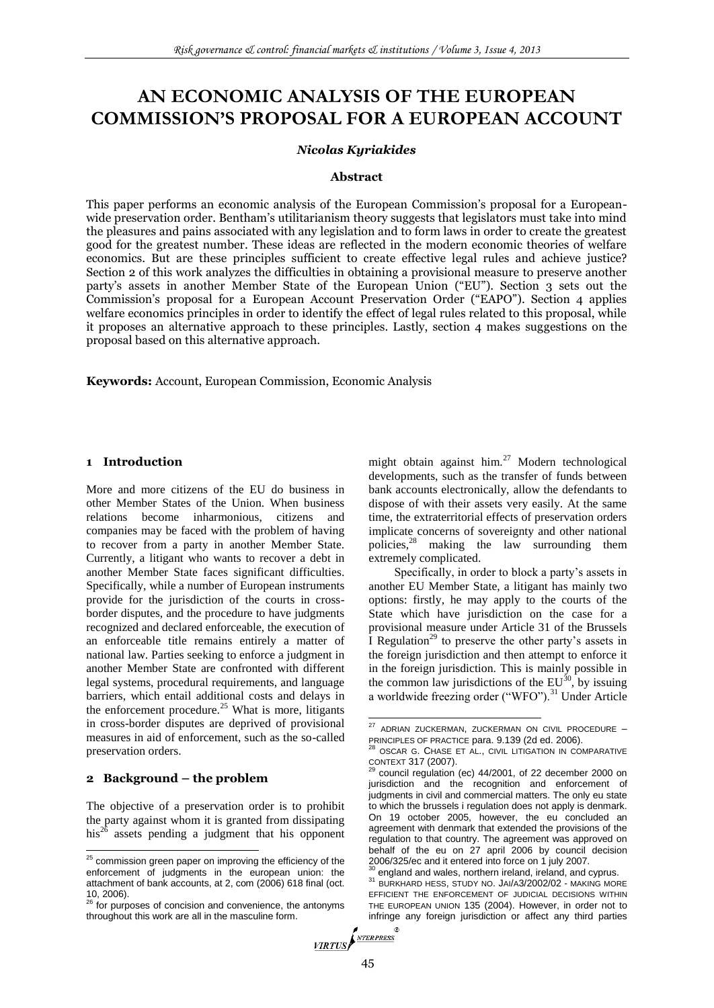# **AN ECONOMIC ANALYSIS OF THE EUROPEAN COMMISSION'S PROPOSAL FOR A EUROPEAN ACCOUNT**

## *Nicolas Kyriakides*

#### **Abstract**

This paper performs an economic analysis of the European Commission's proposal for a Europeanwide preservation order. Bentham's utilitarianism theory suggests that legislators must take into mind the pleasures and pains associated with any legislation and to form laws in order to create the greatest good for the greatest number. These ideas are reflected in the modern economic theories of welfare economics. But are these principles sufficient to create effective legal rules and achieve justice? Section 2 of this work analyzes the difficulties in obtaining a provisional measure to preserve another party's assets in another Member State of the European Union ("EU"). Section 3 sets out the Commission's proposal for a European Account Preservation Order ("EAPO"). Section 4 applies welfare economics principles in order to identify the effect of legal rules related to this proposal, while it proposes an alternative approach to these principles. Lastly, section 4 makes suggestions on the proposal based on this alternative approach.

**Keywords:** Account, European Commission, Economic Analysis

### **1 Introduction**

More and more citizens of the EU do business in other Member States of the Union. When business relations become inharmonious, citizens and companies may be faced with the problem of having to recover from a party in another Member State. Currently, a litigant who wants to recover a debt in another Member State faces significant difficulties. Specifically, while a number of European instruments provide for the jurisdiction of the courts in crossborder disputes, and the procedure to have judgments recognized and declared enforceable, the execution of an enforceable title remains entirely a matter of national law. Parties seeking to enforce a judgment in another Member State are confronted with different legal systems, procedural requirements, and language barriers, which entail additional costs and delays in the enforcement procedure.<sup>25</sup> What is more, litigants in cross-border disputes are deprived of provisional measures in aid of enforcement, such as the so-called preservation orders.

#### **2 Background – the problem**

1

The objective of a preservation order is to prohibit the party against whom it is granted from dissipating his<sup>26</sup> assets pending a judgment that his opponent

might obtain against him.<sup>27</sup> Modern technological developments, such as the transfer of funds between bank accounts electronically, allow the defendants to dispose of with their assets very easily. At the same time, the extraterritorial effects of preservation orders implicate concerns of sovereignty and other national policies,<sup>28</sup> making the law surrounding them extremely complicated.

Specifically, in order to block a party's assets in another EU Member State, a litigant has mainly two options: firstly, he may apply to the courts of the State which have jurisdiction on the case for a provisional measure under Article 31 of the Brussels I Regulation<sup>29</sup> to preserve the other party's assets in the foreign jurisdiction and then attempt to enforce it in the foreign jurisdiction. This is mainly possible in the common law jurisdictions of the  $EU^{30}$ , by issuing a worldwide freezing order ("WFO").<sup>31</sup> Under Article

 $25$  commission green paper on improving the efficiency of the enforcement of judgments in the european union: the attachment of bank accounts, at 2, com (2006) 618 final (oct. 10, 2006). <sup>26</sup> for purposes of concision and convenience, the antonyms

throughout this work are all in the masculine form.

<sup>&</sup>lt;sup>27</sup> ADRIAN ZUCKERMAN, ZUCKERMAN ON CIVIL PROCEDURE -PRINCIPLES OF PRACTICE para. 9.139 (2d ed. 2006).

OSCAR G. CHASE ET AL., CIVIL LITIGATION IN COMPARATIVE CONTEXT 317 (2007).

council regulation (ec) 44/2001, of 22 december 2000 on jurisdiction and the recognition and enforcement of judgments in civil and commercial matters. The only eu state to which the brussels i regulation does not apply is denmark. On 19 october 2005, however, the eu concluded an agreement with denmark that extended the provisions of the regulation to that country. The agreement was approved on behalf of the eu on 27 april 2006 by council decision 2006/325/ec and it entered into force on 1 july 2007.

england and wales, northern ireland, ireland, and cyprus.

<sup>31</sup> BURKHARD HESS, STUDY NO. JAI/A3/2002/02 - MAKING MORE EFFICIENT THE ENFORCEMENT OF JUDICIAL DECISIONS WITHIN THE EUROPEAN UNION 135 (2004). However, in order not to infringe any foreign jurisdiction or affect any third parties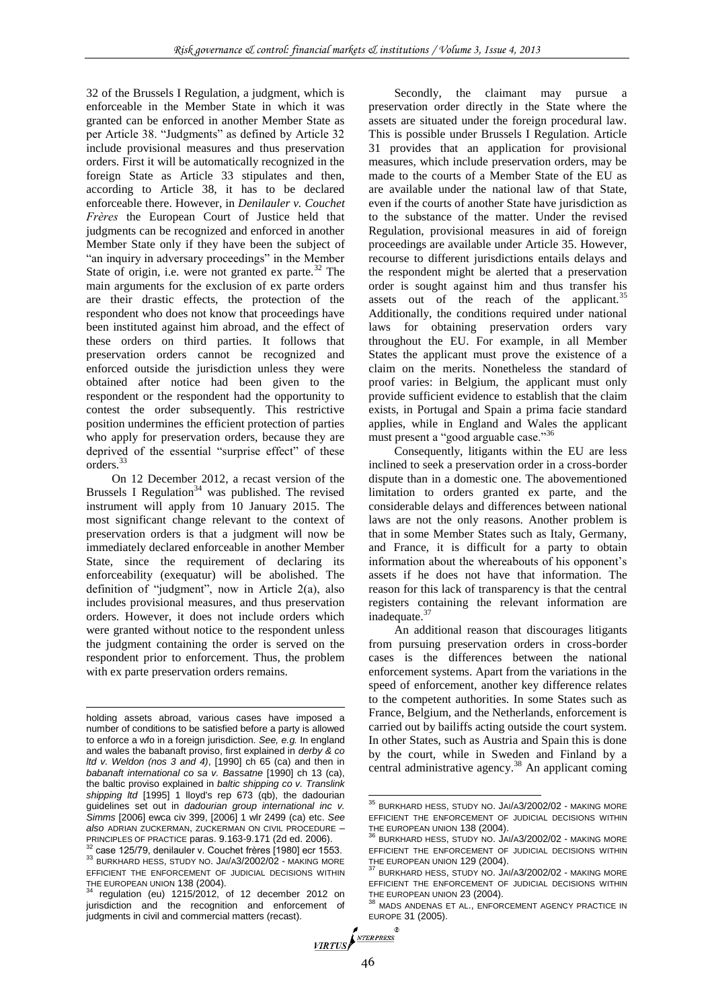32 of the Brussels I Regulation, a judgment, which is enforceable in the Member State in which it was granted can be enforced in another Member State as per Article 38. "Judgments" as defined by Article 32 include provisional measures and thus preservation orders. First it will be automatically recognized in the foreign State as Article 33 stipulates and then, according to Article 38, it has to be declared enforceable there. However, in *Denilauler v. Couchet Frères* the European Court of Justice held that judgments can be recognized and enforced in another Member State only if they have been the subject of "an inquiry in adversary proceedings" in the Member State of origin, i.e. were not granted ex parte.<sup>32</sup> The main arguments for the exclusion of ex parte orders are their drastic effects, the protection of the respondent who does not know that proceedings have been instituted against him abroad, and the effect of these orders on third parties. It follows that preservation orders cannot be recognized and enforced outside the jurisdiction unless they were obtained after notice had been given to the respondent or the respondent had the opportunity to contest the order subsequently. This restrictive position undermines the efficient protection of parties who apply for preservation orders, because they are deprived of the essential "surprise effect" of these orders.<sup>33</sup>

On 12 December 2012, a recast version of the Brussels I Regulation<sup>34</sup> was published. The revised instrument will apply from 10 January 2015. The most significant change relevant to the context of preservation orders is that a judgment will now be immediately declared enforceable in another Member State, since the requirement of declaring its enforceability (exequatur) will be abolished. The definition of "judgment", now in Article 2(a), also includes provisional measures, and thus preservation orders. However, it does not include orders which were granted without notice to the respondent unless the judgment containing the order is served on the respondent prior to enforcement. Thus, the problem with ex parte preservation orders remains.

1

Secondly, the claimant may pursue a preservation order directly in the State where the assets are situated under the foreign procedural law. This is possible under Brussels I Regulation. Article 31 provides that an application for provisional measures, which include preservation orders, may be made to the courts of a Member State of the EU as are available under the national law of that State, even if the courts of another State have jurisdiction as to the substance of the matter. Under the revised Regulation, provisional measures in aid of foreign proceedings are available under Article 35. However, recourse to different jurisdictions entails delays and the respondent might be alerted that a preservation order is sought against him and thus transfer his assets out of the reach of the applicant.<sup>35</sup> Additionally, the conditions required under national laws for obtaining preservation orders vary throughout the EU. For example, in all Member States the applicant must prove the existence of a claim on the merits. Nonetheless the standard of proof varies: in Belgium, the applicant must only provide sufficient evidence to establish that the claim exists, in Portugal and Spain a prima facie standard applies, while in England and Wales the applicant must present a "good arguable case."<sup>36</sup>

Consequently, litigants within the EU are less inclined to seek a preservation order in a cross-border dispute than in a domestic one. The abovementioned limitation to orders granted ex parte, and the considerable delays and differences between national laws are not the only reasons. Another problem is that in some Member States such as Italy, Germany, and France, it is difficult for a party to obtain information about the whereabouts of his opponent's assets if he does not have that information. The reason for this lack of transparency is that the central registers containing the relevant information are inadequate.<sup>37</sup>

An additional reason that discourages litigants from pursuing preservation orders in cross-border cases is the differences between the national enforcement systems. Apart from the variations in the speed of enforcement, another key difference relates to the competent authorities. In some States such as France, Belgium, and the Netherlands, enforcement is carried out by bailiffs acting outside the court system. In other States, such as Austria and Spain this is done by the court, while in Sweden and Finland by a central administrative agency.<sup>38</sup> An applicant coming

holding assets abroad, various cases have imposed a number of conditions to be satisfied before a party is allowed to enforce a wfo in a foreign jurisdiction. *See, e.g.* In england and wales the babanaft proviso, first explained in *derby & co ltd v. Weldon (nos 3 and 4)*, [1990] ch 65 (ca) and then in *babanaft international co sa v. Bassatne* [1990] ch 13 (ca), the baltic proviso explained in *baltic shipping co v. Translink shipping ltd* [1995] 1 lloyd's rep 673 (qb), the dadourian guidelines set out in *dadourian group international inc v. Simms* [2006] ewca civ 399, [2006] 1 wlr 2499 (ca) etc. *See also* ADRIAN ZUCKERMAN, ZUCKERMAN ON CIVIL PROCEDURE – PRINCIPLES OF PRACTICE paras. 9.163-9.171 (2d ed. 2006).

case 125/79, denilauler v. Couchet frères [1980] ecr 1553.

<sup>33</sup> BURKHARD HESS, STUDY NO. JAI/A3/2002/02 - MAKING MORE EFFICIENT THE ENFORCEMENT OF JUDICIAL DECISIONS WITHIN THE EUROPEAN UNION 138 (2004).

 $34$  regulation (eu) 1215/2012, of 12 december 2012 on jurisdiction and the recognition and enforcement of judgments in civil and commercial matters (recast).

<sup>&</sup>lt;sup>35</sup> BURKHARD HESS, STUDY NO. JAI/A3/2002/02 - MAKING MORE EFFICIENT THE ENFORCEMENT OF JUDICIAL DECISIONS WITHIN THE EUROPEAN UNION 138 (2004).

<sup>36</sup> BURKHARD HESS, STUDY NO. JAI/A3/2002/02 - MAKING MORE EFFICIENT THE ENFORCEMENT OF JUDICIAL DECISIONS WITHIN THE EUROPEAN UNION 129 (2004).

BURKHARD HESS, STUDY NO. JAI/A3/2002/02 - MAKING MORE EFFICIENT THE ENFORCEMENT OF JUDICIAL DECISIONS WITHIN THE EUROPEAN UNION 23 (2004).

MADS ANDENAS ET AL., ENFORCEMENT AGENCY PRACTICE IN EUROPE 31 (2005).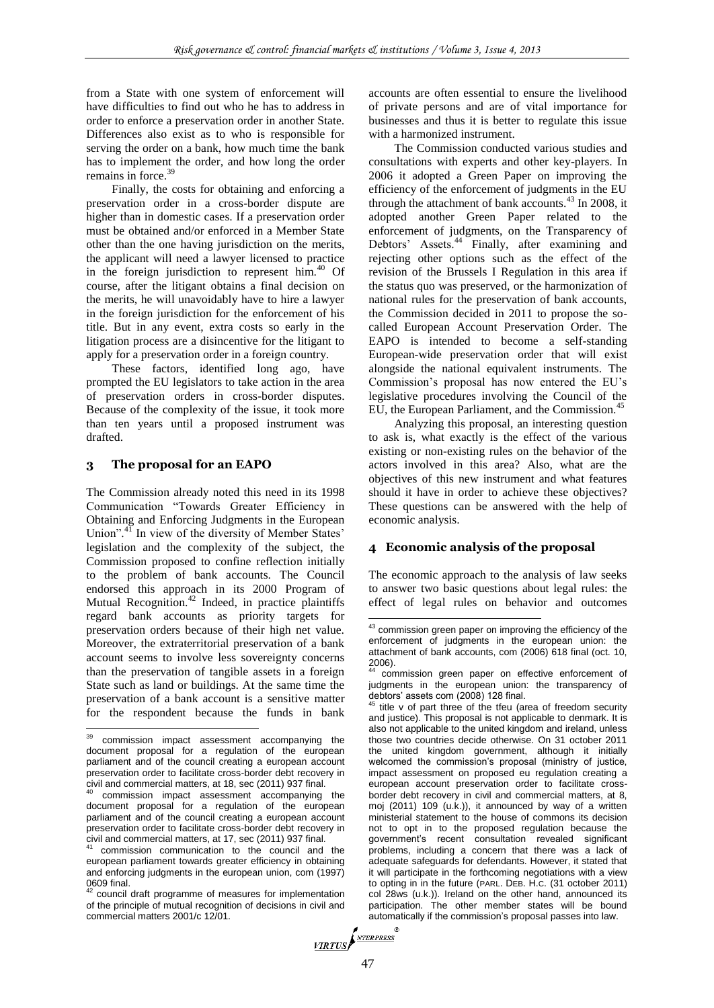from a State with one system of enforcement will have difficulties to find out who he has to address in order to enforce a preservation order in another State. Differences also exist as to who is responsible for serving the order on a bank, how much time the bank has to implement the order, and how long the order remains in force. $3$ 

Finally, the costs for obtaining and enforcing a preservation order in a cross-border dispute are higher than in domestic cases. If a preservation order must be obtained and/or enforced in a Member State other than the one having jurisdiction on the merits, the applicant will need a lawyer licensed to practice in the foreign jurisdiction to represent him. $40$  Of course, after the litigant obtains a final decision on the merits, he will unavoidably have to hire a lawyer in the foreign jurisdiction for the enforcement of his title. But in any event, extra costs so early in the litigation process are a disincentive for the litigant to apply for a preservation order in a foreign country.

These factors, identified long ago, have prompted the EU legislators to take action in the area of preservation orders in cross-border disputes. Because of the complexity of the issue, it took more than ten years until a proposed instrument was drafted.

## **3 The proposal for an EAPO**

The Commission already noted this need in its 1998 Communication "Towards Greater Efficiency in Obtaining and Enforcing Judgments in the European Union".<sup>41</sup> In view of the diversity of Member States' legislation and the complexity of the subject, the Commission proposed to confine reflection initially to the problem of bank accounts. The Council endorsed this approach in its 2000 Program of Mutual Recognition.<sup>42</sup> Indeed, in practice plaintiffs regard bank accounts as priority targets for preservation orders because of their high net value. Moreover, the extraterritorial preservation of a bank account seems to involve less sovereignty concerns than the preservation of tangible assets in a foreign State such as land or buildings. At the same time the preservation of a bank account is a sensitive matter for the respondent because the funds in bank

accounts are often essential to ensure the livelihood of private persons and are of vital importance for businesses and thus it is better to regulate this issue with a harmonized instrument.

The Commission conducted various studies and consultations with experts and other key-players. In 2006 it adopted a Green Paper on improving the efficiency of the enforcement of judgments in the EU through the attachment of bank accounts.<sup>43</sup> In 2008, it adopted another Green Paper related to the enforcement of judgments, on the Transparency of Debtors' Assets.<sup>44</sup> Finally, after examining and rejecting other options such as the effect of the revision of the Brussels I Regulation in this area if the status quo was preserved, or the harmonization of national rules for the preservation of bank accounts, the Commission decided in 2011 to propose the socalled European Account Preservation Order. The EAPO is intended to become a self-standing European-wide preservation order that will exist alongside the national equivalent instruments. The Commission's proposal has now entered the EU's legislative procedures involving the Council of the EU, the European Parliament, and the Commission.<sup>45</sup>

Analyzing this proposal, an interesting question to ask is, what exactly is the effect of the various existing or non-existing rules on the behavior of the actors involved in this area? Also, what are the objectives of this new instrument and what features should it have in order to achieve these objectives? These questions can be answered with the help of economic analysis.

### **4 Economic analysis of the proposal**

The economic approach to the analysis of law seeks to answer two basic questions about legal rules: the effect of legal rules on behavior and outcomes

1

<sup>39</sup> commission impact assessment accompanying the document proposal for a regulation of the european parliament and of the council creating a european account preservation order to facilitate cross-border debt recovery in civil and commercial matters, at 18, sec (2011) 937 final.

commission impact assessment accompanying the document proposal for a regulation of the european parliament and of the council creating a european account preservation order to facilitate cross-border debt recovery in civil and commercial matters, at 17, sec (2011) 937 final.

commission communication to the council and the european parliament towards greater efficiency in obtaining and enforcing judgments in the european union, com (1997) 0609 final.

council draft programme of measures for implementation of the principle of mutual recognition of decisions in civil and commercial matters 2001/c 12/01.

<sup>&</sup>lt;sup>43</sup> commission green paper on improving the efficiency of the enforcement of judgments in the european union: the attachment of bank accounts, com (2006) 618 final (oct. 10, 2006).

commission green paper on effective enforcement of judgments in the european union: the transparency of debtors' assets com (2008) 128 final.

title v of part three of the tfeu (area of freedom security and justice). This proposal is not applicable to denmark. It is also not applicable to the united kingdom and ireland, unless those two countries decide otherwise. On 31 october 2011 the united kingdom government, although it initially welcomed the commission's proposal (ministry of justice, impact assessment on proposed eu regulation creating a european account preservation order to facilitate crossborder debt recovery in civil and commercial matters, at 8, moj (2011) 109 (u.k.)), it announced by way of a written ministerial statement to the house of commons its decision not to opt in to the proposed regulation because the government's recent consultation revealed significant problems, including a concern that there was a lack of adequate safeguards for defendants. However, it stated that it will participate in the forthcoming negotiations with a view to opting in in the future (PARL. DEB. H.C. (31 october 2011) col 28ws (u.k.)). Ireland on the other hand, announced its participation. The other member states will be bound automatically if the commission's proposal passes into law.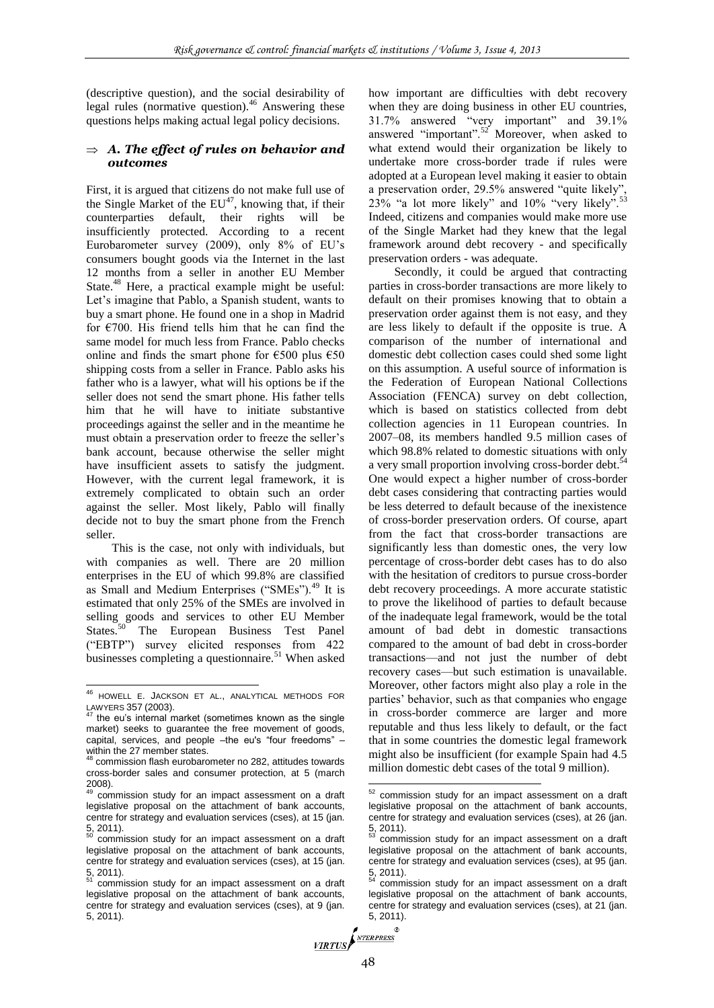(descriptive question), and the social desirability of legal rules (normative question). $46$  Answering these questions helps making actual legal policy decisions.

#### $\Rightarrow$  A. The effect of rules on behavior and *outcomes*

First, it is argued that citizens do not make full use of the Single Market of the  $EU^{47}$ , knowing that, if their counterparties default, their rights will be insufficiently protected. According to a recent Eurobarometer survey (2009), only 8% of EU's consumers bought goods via the Internet in the last 12 months from a seller in another EU Member State.<sup>48</sup> Here, a practical example might be useful: Let's imagine that Pablo, a Spanish student, wants to buy a smart phone. He found one in a shop in Madrid for  $\epsilon$ 700. His friend tells him that he can find the same model for much less from France. Pablo checks online and finds the smart phone for  $\epsilon$ 500 plus  $\epsilon$ 50 shipping costs from a seller in France. Pablo asks his father who is a lawyer, what will his options be if the seller does not send the smart phone. His father tells him that he will have to initiate substantive proceedings against the seller and in the meantime he must obtain a preservation order to freeze the seller's bank account, because otherwise the seller might have insufficient assets to satisfy the judgment. However, with the current legal framework, it is extremely complicated to obtain such an order against the seller. Most likely, Pablo will finally decide not to buy the smart phone from the French seller.

This is the case, not only with individuals, but with companies as well. There are 20 million enterprises in the EU of which 99.8% are classified as Small and Medium Enterprises ("SMEs").<sup>49</sup> It is estimated that only 25% of the SMEs are involved in selling goods and services to other EU Member States.<sup>50</sup> The European Business Test Panel ("EBTP") survey elicited responses from 422 businesses completing a questionnaire.<sup>51</sup> When asked

1

how important are difficulties with debt recovery when they are doing business in other EU countries, 31.7% answered "very important" and 39.1% answered "important".<sup>52</sup> Moreover, when asked to what extend would their organization be likely to undertake more cross-border trade if rules were adopted at a European level making it easier to obtain a preservation order, 29.5% answered "quite likely",  $23%$  "a lot more likely" and 10% "very likely".<sup>53</sup> Indeed, citizens and companies would make more use of the Single Market had they knew that the legal framework around debt recovery - and specifically preservation orders - was adequate.

Secondly, it could be argued that contracting parties in cross-border transactions are more likely to default on their promises knowing that to obtain a preservation order against them is not easy, and they are less likely to default if the opposite is true. A comparison of the number of international and domestic debt collection cases could shed some light on this assumption. A useful source of information is the Federation of European National Collections Association (FENCA) survey on debt collection, which is based on statistics collected from debt collection agencies in 11 European countries. In 2007–08, its members handled 9.5 million cases of  $200$ /-06, its increased to domestic situations with only<br>which 98.8% related to domestic situations with only a very small proportion involving cross-border debt.<sup>54</sup> One would expect a higher number of cross-border debt cases considering that contracting parties would be less deterred to default because of the inexistence of cross-border preservation orders. Of course, apart from the fact that cross-border transactions are significantly less than domestic ones, the very low percentage of cross-border debt cases has to do also with the hesitation of creditors to pursue cross-border debt recovery proceedings. A more accurate statistic to prove the likelihood of parties to default because of the inadequate legal framework, would be the total amount of bad debt in domestic transactions compared to the amount of bad debt in cross-border transactions—and not just the number of debt recovery cases—but such estimation is unavailable. Moreover, other factors might also play a role in the parties' behavior, such as that companies who engage in cross-border commerce are larger and more reputable and thus less likely to default, or the fact that in some countries the domestic legal framework might also be insufficient (for example Spain had 4.5 million domestic debt cases of the total 9 million).

<sup>46</sup> HOWELL E. JACKSON ET AL., ANALYTICAL METHODS FOR LAWYERS 357 (2003).

the eu's internal market (sometimes known as the single market) seeks to guarantee the free movement of goods, capital, services, and people –the eu's "four freedoms" – within the 27 member states.

commission flash eurobarometer no 282, attitudes towards cross-border sales and consumer protection, at 5 (march 2008).

commission study for an impact assessment on a draft legislative proposal on the attachment of bank accounts, centre for strategy and evaluation services (cses), at 15 (jan.  $\frac{5}{50}$ , 2011).

commission study for an impact assessment on a draft legislative proposal on the attachment of bank accounts, centre for strategy and evaluation services (cses), at 15 (jan.  $\frac{5}{51}$ , 2011).

commission study for an impact assessment on a draft legislative proposal on the attachment of bank accounts, centre for strategy and evaluation services (cses), at 9 (jan. 5, 2011).

 $52$ commission study for an impact assessment on a draft legislative proposal on the attachment of bank accounts, centre for strategy and evaluation services (cses), at 26 (jan.  $\frac{5}{53}$ , 2011).

commission study for an impact assessment on a draft legislative proposal on the attachment of bank accounts, centre for strategy and evaluation services (cses), at 95 (jan. 5, 2011).

commission study for an impact assessment on a draft legislative proposal on the attachment of bank accounts, centre for strategy and evaluation services (cses), at 21 (jan.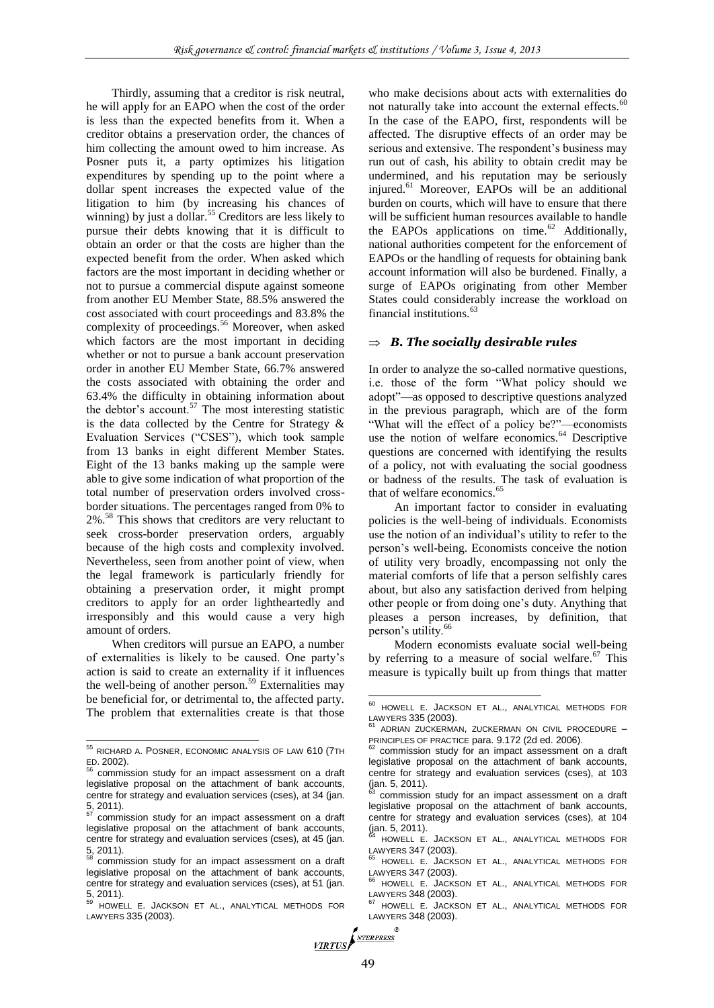Thirdly, assuming that a creditor is risk neutral, he will apply for an EAPO when the cost of the order is less than the expected benefits from it. When a creditor obtains a preservation order, the chances of him collecting the amount owed to him increase. As Posner puts it, a party optimizes his litigation expenditures by spending up to the point where a dollar spent increases the expected value of the litigation to him (by increasing his chances of winning) by just a dollar.<sup>55</sup> Creditors are less likely to pursue their debts knowing that it is difficult to obtain an order or that the costs are higher than the expected benefit from the order. When asked which factors are the most important in deciding whether or not to pursue a commercial dispute against someone from another EU Member State, 88.5% answered the cost associated with court proceedings and 83.8% the complexity of proceedings.<sup>56</sup> Moreover, when asked which factors are the most important in deciding whether or not to pursue a bank account preservation order in another EU Member State, 66.7% answered the costs associated with obtaining the order and 63.4% the difficulty in obtaining information about the debtor's account.<sup>57</sup> The most interesting statistic is the data collected by the Centre for Strategy  $\&$ Evaluation Services ("CSES"), which took sample from 13 banks in eight different Member States. Eight of the 13 banks making up the sample were able to give some indication of what proportion of the total number of preservation orders involved crossborder situations. The percentages ranged from 0% to 2%.<sup>58</sup> This shows that creditors are very reluctant to seek cross-border preservation orders, arguably because of the high costs and complexity involved. Nevertheless, seen from another point of view, when the legal framework is particularly friendly for obtaining a preservation order, it might prompt creditors to apply for an order lightheartedly and irresponsibly and this would cause a very high amount of orders.

When creditors will pursue an EAPO, a number of externalities is likely to be caused. One party's action is said to create an externality if it influences the well-being of another person.<sup>59</sup> Externalities may be beneficial for, or detrimental to, the affected party. The problem that externalities create is that those

-

who make decisions about acts with externalities do not naturally take into account the external effects.<sup>60</sup> In the case of the EAPO, first, respondents will be affected. The disruptive effects of an order may be serious and extensive. The respondent's business may run out of cash, his ability to obtain credit may be undermined, and his reputation may be seriously injured.<sup>61</sup> Moreover, EAPOs will be an additional burden on courts, which will have to ensure that there will be sufficient human resources available to handle the EAPOs applications on time. $62$  Additionally, national authorities competent for the enforcement of EAPOs or the handling of requests for obtaining bank account information will also be burdened. Finally, a surge of EAPOs originating from other Member States could considerably increase the workload on financial institutions.<sup>63</sup>

#### *B. The socially desirable rules*

In order to analyze the so-called normative questions, i.e. those of the form "What policy should we adopt"—as opposed to descriptive questions analyzed in the previous paragraph, which are of the form "What will the effect of a policy be?"—economists use the notion of welfare economics.<sup>64</sup> Descriptive questions are concerned with identifying the results of a policy, not with evaluating the social goodness or badness of the results. The task of evaluation is that of welfare economics.<sup>65</sup>

An important factor to consider in evaluating policies is the well-being of individuals. Economists use the notion of an individual's utility to refer to the person's well-being. Economists conceive the notion of utility very broadly, encompassing not only the material comforts of life that a person selfishly cares about, but also any satisfaction derived from helping other people or from doing one's duty. Anything that pleases a person increases, by definition, that person's utility.<sup>66</sup>

Modern economists evaluate social well-being by referring to a measure of social welfare.<sup>67</sup> This measure is typically built up from things that matter

<sup>&</sup>lt;sup>55</sup> RICHARD A. POSNER, ECONOMIC ANALYSIS OF LAW 610 (7TH ED. 2002).

commission study for an impact assessment on a draft legislative proposal on the attachment of bank accounts, centre for strategy and evaluation services (cses), at 34 (jan.  $\frac{5}{57}$ , 2011).

commission study for an impact assessment on a draft legislative proposal on the attachment of bank accounts, centre for strategy and evaluation services (cses), at 45 (jan. 5, 2011).

commission study for an impact assessment on a draft legislative proposal on the attachment of bank accounts, centre for strategy and evaluation services (cses), at 51 (jan.  $5, 2011$ .

HOWELL E. JACKSON ET AL., ANALYTICAL METHODS FOR LAWYERS 335 (2003).

<sup>60</sup> HOWELL E. JACKSON ET AL., ANALYTICAL METHODS FOR LAWYERS 335 (2003).

<sup>61</sup> ADRIAN ZUCKERMAN, ZUCKERMAN ON CIVIL PROCEDURE – **PRINCIPLES OF PRACTICE para. 9.172 (2d ed. 2006).**<br><sup>62</sup> contraining the set of PRACTICE para. 9.172 (2d ed. 2006).

commission study for an impact assessment on a draft legislative proposal on the attachment of bank accounts, centre for strategy and evaluation services (cses), at 103 (jan. 5, 2011).

commission study for an impact assessment on a draft legislative proposal on the attachment of bank accounts, centre for strategy and evaluation services (cses), at 104 (jan. 5, 2011).

<sup>64</sup> HOWELL E. JACKSON ET AL., ANALYTICAL METHODS FOR LAWYERS 347 (2003).

HOWELL E. JACKSON ET AL., ANALYTICAL METHODS FOR LAWYERS 347 (2003).

HOWELL E. JACKSON ET AL., ANALYTICAL METHODS FOR LAWYERS 348 (2003).

HOWELL E. JACKSON ET AL., ANALYTICAL METHODS FOR LAWYERS 348 (2003).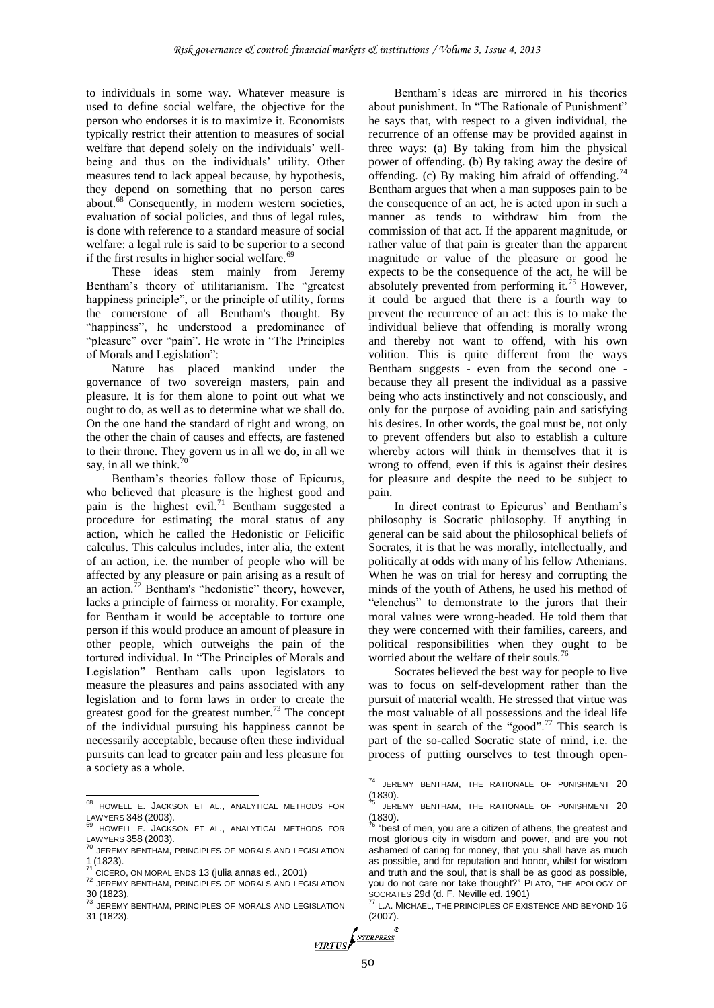to individuals in some way. Whatever measure is used to define social welfare, the objective for the person who endorses it is to maximize it. Economists typically restrict their attention to measures of social welfare that depend solely on the individuals' wellbeing and thus on the individuals' utility. Other measures tend to lack appeal because, by hypothesis, they depend on something that no person cares about.<sup>68</sup> Consequently, in modern western societies, evaluation of social policies, and thus of legal rules, is done with reference to a standard measure of social welfare: a legal rule is said to be superior to a second if the first results in higher social welfare. $69$ 

These ideas stem mainly from Jeremy Bentham's theory of utilitarianism. The "greatest happiness principle", or the principle of utility, forms the cornerstone of all Bentham's thought. By "happiness", he understood a predominance of "pleasure" over "pain". He wrote in "The Principles of Morals and Legislation":

Nature has placed mankind under the governance of two sovereign masters, pain and pleasure. It is for them alone to point out what we ought to do, as well as to determine what we shall do. On the one hand the standard of right and wrong, on the other the chain of causes and effects, are fastened to their throne. They govern us in all we do, in all we say, in all we think.

Bentham's theories follow those of Epicurus, who believed that pleasure is the highest good and pain is the highest evil.<sup>71</sup> Bentham suggested a procedure for estimating the moral status of any action, which he called the Hedonistic or Felicific calculus. This calculus includes, inter alia, the extent of an action, i.e. the number of people who will be affected by any pleasure or pain arising as a result of an action.<sup>72</sup> Bentham's "hedonistic" theory, however, lacks a principle of fairness or morality. For example, for Bentham it would be acceptable to torture one person if this would produce an amount of pleasure in other people, which outweighs the pain of the tortured individual. In "The Principles of Morals and Legislation" Bentham calls upon legislators to measure the pleasures and pains associated with any legislation and to form laws in order to create the greatest good for the greatest number.<sup>73</sup> The concept of the individual pursuing his happiness cannot be necessarily acceptable, because often these individual pursuits can lead to greater pain and less pleasure for a society as a whole.

-

Bentham's ideas are mirrored in his theories about punishment. In "The Rationale of Punishment" he says that, with respect to a given individual, the recurrence of an offense may be provided against in three ways: (a) By taking from him the physical power of offending. (b) By taking away the desire of offending. (c) By making him afraid of offending.<sup>7</sup> Bentham argues that when a man supposes pain to be the consequence of an act, he is acted upon in such a manner as tends to withdraw him from the commission of that act. If the apparent magnitude, or rather value of that pain is greater than the apparent magnitude or value of the pleasure or good he expects to be the consequence of the act, he will be absolutely prevented from performing it.<sup>75</sup> However, it could be argued that there is a fourth way to prevent the recurrence of an act: this is to make the individual believe that offending is morally wrong and thereby not want to offend, with his own volition. This is quite different from the ways Bentham suggests - even from the second one because they all present the individual as a passive being who acts instinctively and not consciously, and only for the purpose of avoiding pain and satisfying his desires. In other words, the goal must be, not only to prevent offenders but also to establish a culture whereby actors will think in themselves that it is wrong to offend, even if this is against their desires for pleasure and despite the need to be subject to pain.

In direct contrast to Epicurus' and Bentham's philosophy is Socratic philosophy. If anything in general can be said about the philosophical beliefs of Socrates, it is that he was morally, intellectually, and politically at odds with many of his fellow Athenians. When he was on trial for heresy and corrupting the minds of the youth of Athens, he used his method of "elenchus" to demonstrate to the jurors that their moral values were wrong-headed. He told them that they were concerned with their families, careers, and political responsibilities when they ought to be worried about the welfare of their souls.<sup>76</sup>

Socrates believed the best way for people to live was to focus on self-development rather than the pursuit of material wealth. He stressed that virtue was the most valuable of all possessions and the ideal life was spent in search of the "good".<sup>77</sup> This search is part of the so-called Socratic state of mind, i.e. the process of putting ourselves to test through open-

<sup>68</sup> HOWELL E. JACKSON ET AL., ANALYTICAL METHODS FOR LAWYERS 348 (2003).

HOWELL E. JACKSON ET AL., ANALYTICAL METHODS FOR

LAWYERS 358 (2003).<br><sup>70</sup> JEREMY BENTHAM, PRINCIPLES OF MORALS AND LEGISLATION  $1(1823)$ .

CICERO, ON MORAL ENDS 13 (julia annas ed., 2001)

<sup>72</sup> JEREMY BENTHAM, PRINCIPLES OF MORALS AND LEGISLATION 30 (1823).<br><sup>73</sup> JEREMY BENTHAM, PRINCIPLES OF MORALS AND LEGISLATION

<sup>31</sup> (1823).

<sup>&</sup>lt;sup>74</sup> JEREMY BENTHAM, THE RATIONALE OF PUNISHMENT 20  $(1830).$ 

JEREMY BENTHAM, THE RATIONALE OF PUNISHMENT 20  $(1830)$ .

<sup>&</sup>quot;best of men, you are a citizen of athens, the greatest and most glorious city in wisdom and power, and are you not ashamed of caring for money, that you shall have as much as possible, and for reputation and honor, whilst for wisdom and truth and the soul, that is shall be as good as possible, you do not care nor take thought?" PLATO, THE APOLOGY OF

SOCRATES 29d (d. F. Neville ed. 1901) <sup>77</sup> <sup>L</sup>.A. MICHAEL, THE PRINCIPLES OF EXISTENCE AND BEYOND 16 (2007).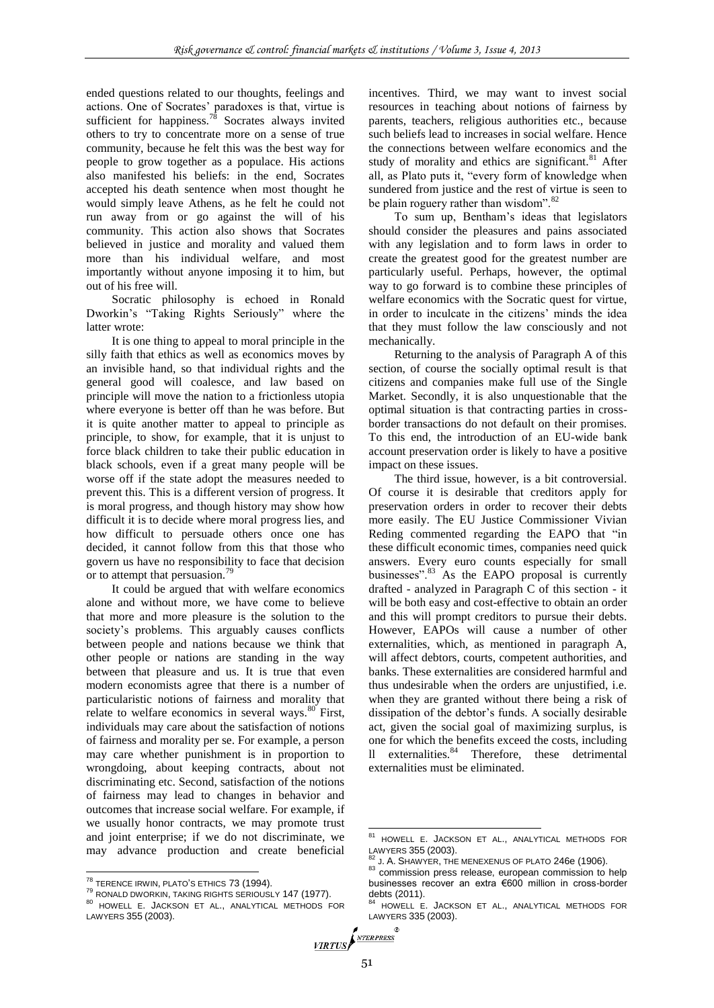ended questions related to our thoughts, feelings and actions. One of Socrates' paradoxes is that, virtue is sufficient for happiness.<sup>78</sup> Socrates always invited others to try to concentrate more on a sense of true community, because he felt this was the best way for people to grow together as a populace. His actions also manifested his beliefs: in the end, Socrates accepted his death sentence when most thought he would simply leave Athens, as he felt he could not run away from or go against the will of his community. This action also shows that Socrates believed in justice and morality and valued them more than his individual welfare, and most importantly without anyone imposing it to him, but out of his free will.

Socratic philosophy is echoed in Ronald Dworkin's "Taking Rights Seriously" where the latter wrote:

It is one thing to appeal to moral principle in the silly faith that ethics as well as economics moves by an invisible hand, so that individual rights and the general good will coalesce, and law based on principle will move the nation to a frictionless utopia where everyone is better off than he was before. But it is quite another matter to appeal to principle as principle, to show, for example, that it is unjust to force black children to take their public education in black schools, even if a great many people will be worse off if the state adopt the measures needed to prevent this. This is a different version of progress. It is moral progress, and though history may show how difficult it is to decide where moral progress lies, and how difficult to persuade others once one has decided, it cannot follow from this that those who govern us have no responsibility to face that decision or to attempt that persuasion.<sup>79</sup>

It could be argued that with welfare economics alone and without more, we have come to believe that more and more pleasure is the solution to the society's problems. This arguably causes conflicts between people and nations because we think that other people or nations are standing in the way between that pleasure and us. It is true that even modern economists agree that there is a number of particularistic notions of fairness and morality that relate to welfare economics in several ways.<sup>80</sup> First, individuals may care about the satisfaction of notions of fairness and morality per se. For example, a person may care whether punishment is in proportion to wrongdoing, about keeping contracts, about not discriminating etc. Second, satisfaction of the notions of fairness may lead to changes in behavior and outcomes that increase social welfare. For example, if we usually honor contracts, we may promote trust and joint enterprise; if we do not discriminate, we may advance production and create beneficial

1

incentives. Third, we may want to invest social resources in teaching about notions of fairness by parents, teachers, religious authorities etc., because such beliefs lead to increases in social welfare. Hence the connections between welfare economics and the study of morality and ethics are significant.<sup>81</sup> After all, as Plato puts it, "every form of knowledge when sundered from justice and the rest of virtue is seen to be plain roguery rather than wisdom".<sup>82</sup>

To sum up, Bentham's ideas that legislators should consider the pleasures and pains associated with any legislation and to form laws in order to create the greatest good for the greatest number are particularly useful. Perhaps, however, the optimal way to go forward is to combine these principles of welfare economics with the Socratic quest for virtue, in order to inculcate in the citizens' minds the idea that they must follow the law consciously and not mechanically.

Returning to the analysis of Paragraph A of this section, of course the socially optimal result is that citizens and companies make full use of the Single Market. Secondly, it is also unquestionable that the optimal situation is that contracting parties in crossborder transactions do not default on their promises. To this end, the introduction of an EU-wide bank account preservation order is likely to have a positive impact on these issues.

The third issue, however, is a bit controversial. Of course it is desirable that creditors apply for preservation orders in order to recover their debts more easily. The EU Justice Commissioner Vivian Reding commented regarding the EAPO that "in these difficult economic times, companies need quick answers. Every euro counts especially for small businesses".<sup>83</sup> As the EAPO proposal is currently drafted - analyzed in Paragraph C of this section - it will be both easy and cost-effective to obtain an order and this will prompt creditors to pursue their debts. However, EAPOs will cause a number of other externalities, which, as mentioned in paragraph A, will affect debtors, courts, competent authorities, and banks. These externalities are considered harmful and thus undesirable when the orders are unjustified, i.e. when they are granted without there being a risk of dissipation of the debtor's funds. A socially desirable act, given the social goal of maximizing surplus, is one for which the benefits exceed the costs, including ll externalities.<sup>84</sup> Therefore, these detrimental externalities must be eliminated.

 $78$  TERENCE IRWIN, PLATO'S ETHICS 73 (1994).

<sup>79</sup> RONALD DWORKIN, TAKING RIGHTS SERIOUSLY 147 (1977). 80 HOWELL E. JACKSON ET AL., ANALYTICAL METHODS FOR LAWYERS 355 (2003).

<sup>81</sup> HOWELL E. JACKSON ET AL., ANALYTICAL METHODS FOR LAWYERS 355 (2003).

J. A. SHAWYER, THE MENEXENUS OF PLATO 246e (1906).

<sup>83</sup> commission press release, european commission to help businesses recover an extra €600 million in cross-border debts (2011).

HOWELL E. JACKSON ET AL., ANALYTICAL METHODS FOR LAWYERS 335 (2003).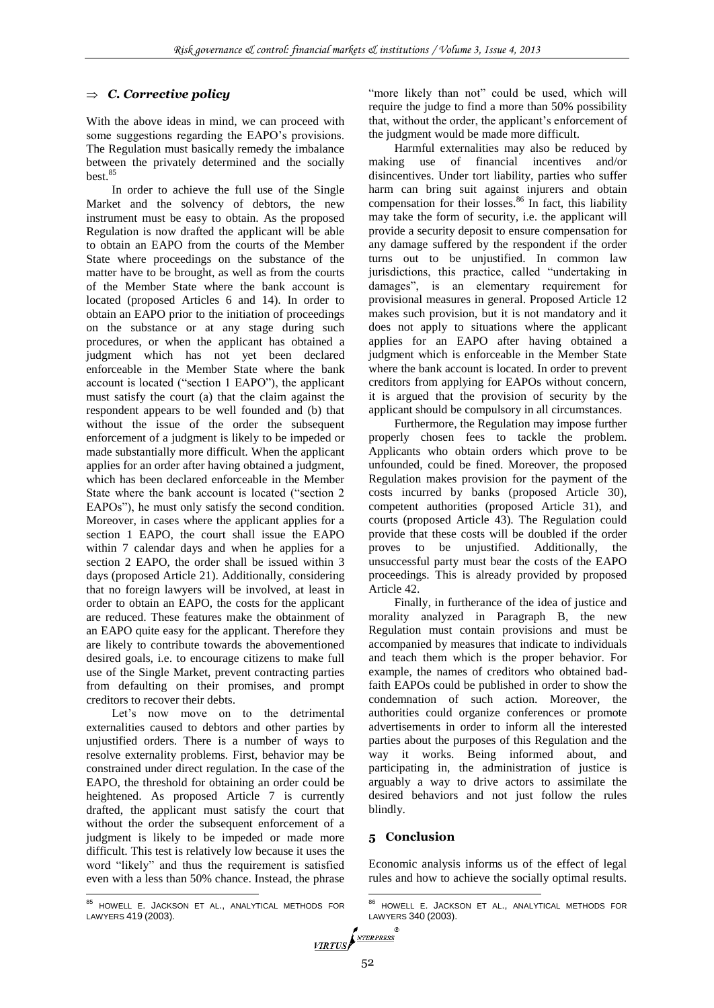# *C. Corrective policy*

With the above ideas in mind, we can proceed with some suggestions regarding the EAPO's provisions. The Regulation must basically remedy the imbalance between the privately determined and the socially best.<sup>85</sup>

In order to achieve the full use of the Single Market and the solvency of debtors, the new instrument must be easy to obtain. As the proposed Regulation is now drafted the applicant will be able to obtain an EAPO from the courts of the Member State where proceedings on the substance of the matter have to be brought, as well as from the courts of the Member State where the bank account is located (proposed Articles 6 and 14). In order to obtain an EAPO prior to the initiation of proceedings on the substance or at any stage during such procedures, or when the applicant has obtained a judgment which has not yet been declared enforceable in the Member State where the bank account is located ("section 1 EAPO"), the applicant must satisfy the court (a) that the claim against the respondent appears to be well founded and (b) that without the issue of the order the subsequent enforcement of a judgment is likely to be impeded or made substantially more difficult. When the applicant applies for an order after having obtained a judgment, which has been declared enforceable in the Member State where the bank account is located ("section 2 EAPOs"), he must only satisfy the second condition. Moreover, in cases where the applicant applies for a section 1 EAPO, the court shall issue the EAPO within 7 calendar days and when he applies for a section 2 EAPO, the order shall be issued within 3 days (proposed Article 21). Additionally, considering that no foreign lawyers will be involved, at least in order to obtain an EAPO, the costs for the applicant are reduced. These features make the obtainment of an EAPO quite easy for the applicant. Therefore they are likely to contribute towards the abovementioned desired goals, i.e. to encourage citizens to make full use of the Single Market, prevent contracting parties from defaulting on their promises, and prompt creditors to recover their debts.

Let's now move on to the detrimental externalities caused to debtors and other parties by unjustified orders. There is a number of ways to resolve externality problems. First, behavior may be constrained under direct regulation. In the case of the EAPO, the threshold for obtaining an order could be heightened. As proposed Article 7 is currently drafted, the applicant must satisfy the court that without the order the subsequent enforcement of a judgment is likely to be impeded or made more difficult. This test is relatively low because it uses the word "likely" and thus the requirement is satisfied even with a less than 50% chance. Instead, the phrase

85 HOWELL E. JACKSON ET AL., ANALYTICAL METHODS FOR LAWYERS 419 (2003).

 $\overline{a}$ 

"more likely than not" could be used, which will require the judge to find a more than 50% possibility that, without the order, the applicant's enforcement of the judgment would be made more difficult.

Harmful externalities may also be reduced by making use of financial incentives and/or disincentives. Under tort liability, parties who suffer harm can bring suit against injurers and obtain compensation for their losses. $86 \text{ In fact, this liability}$ may take the form of security, i.e. the applicant will provide a security deposit to ensure compensation for any damage suffered by the respondent if the order turns out to be unjustified. In common law jurisdictions, this practice, called "undertaking in damages", is an elementary requirement for provisional measures in general. Proposed Article 12 makes such provision, but it is not mandatory and it does not apply to situations where the applicant applies for an EAPO after having obtained a judgment which is enforceable in the Member State where the bank account is located. In order to prevent creditors from applying for EAPOs without concern, it is argued that the provision of security by the applicant should be compulsory in all circumstances.

Furthermore, the Regulation may impose further properly chosen fees to tackle the problem. Applicants who obtain orders which prove to be unfounded, could be fined. Moreover, the proposed Regulation makes provision for the payment of the costs incurred by banks (proposed Article 30), competent authorities (proposed Article 31), and courts (proposed Article 43). The Regulation could provide that these costs will be doubled if the order proves to be unjustified. Additionally, the unsuccessful party must bear the costs of the EAPO proceedings. This is already provided by proposed Article 42.

Finally, in furtherance of the idea of justice and morality analyzed in Paragraph B, the new Regulation must contain provisions and must be accompanied by measures that indicate to individuals and teach them which is the proper behavior. For example, the names of creditors who obtained badfaith EAPOs could be published in order to show the condemnation of such action. Moreover, the authorities could organize conferences or promote advertisements in order to inform all the interested parties about the purposes of this Regulation and the way it works. Being informed about, and participating in, the administration of justice is arguably a way to drive actors to assimilate the desired behaviors and not just follow the rules blindly.

# **5 Conclusion**

Economic analysis informs us of the effect of legal rules and how to achieve the socially optimal results.

 $\overline{a}$ 

 $\mathbb{R}$ 

<sup>86</sup> HOWELL E. JACKSON ET AL., ANALYTICAL METHODS FOR LAWYERS 340 (2003).